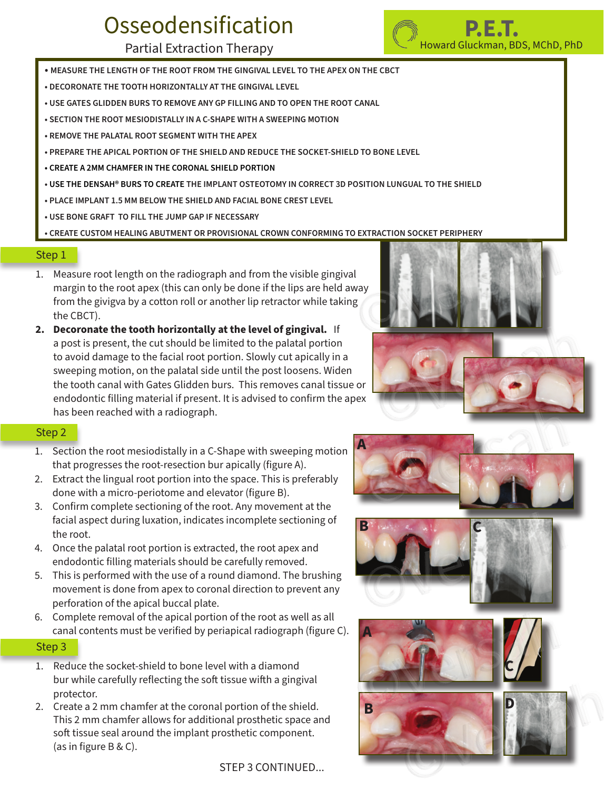# **Osseodensification**

### Partial Extraction Therapy

- **MEASURE THE LENGTH OF THE ROOT FROM THE GINGIVAL LEVEL TO THE APEX ON THE CBCT**
- **DECORONATE THE TOOTH HORIZONTALLY AT THE GINGIVAL LEVEL**
- **USE GATES GLIDDEN BURS TO REMOVE ANY GP FILLING AND TO OPEN THE ROOT CANAL**
- **SECTION THE ROOT MESIODISTALLY IN A C-SHAPE WITH A SWEEPING MOTION**
- **• REMOVE THE PALATAL ROOT SEGMENT WITH THE APEX**
- **PREPARE THE APICAL PORTION OF THE SHIELD AND REDUCE THE SOCKET-SHIELD TO BONE LEVEL**
- **CREATE A 2MM CHAMFER IN THE CORONAL SHIELD PORTION**
- **USE THE DENSAH® BURS TO CREATE THE IMPLANT OSTEOTOMY IN CORRECT 3D POSITION LUNGUAL TO THE SHIELD**
- **PLACE IMPLANT 1.5 MM BELOW THE SHIELD AND FACIAL BONE CREST LEVEL**
- **USE BONE GRAFT TO FILL THE JUMP GAP IF NECESSARY**

**• CREATE CUSTOM HEALING ABUTMENT OR PROVISIONAL CROWN CONFORMING TO EXTRACTION SOCKET PERIPHERY** 

#### Step 1

- 1. Measure root length on the radiograph and from the visible gingival margin to the root apex (this can only be done if the lips are held away from the givigva by a cotton roll or another lip retractor while taking the CBCT).
- **2. Decoronate the tooth horizontally at the level of gingival.** If a post is present, the cut should be limited to the palatal portion to avoid damage to the facial root portion. Slowly cut apically in a sweeping motion, on the palatal side until the post loosens. Widen the tooth canal with Gates Glidden burs. This removes canal tissue or endodontic filling material if present. It is advised to confirm the apex has been reached with a radiograph.

- 1. Step 2 and the root mesiodistally in a C-Shape with sweeping motion **A** that progresses the root-resection bur apically (figure A).
	- 2. Extract the lingual root portion into the space. This is preferably done with a micro-periotome and elevator (figure B).
	- 3. Confirm complete sectioning of the root. Any movement at the facial aspect during luxation, indicates incomplete sectioning of the root.
	- 4. Once the palatal root portion is extracted, the root apex and endodontic filling materials should be carefully removed.
	- 5. This is performed with the use of a round diamond. The brushing movement is done from apex to coronal direction to prevent any perforation of the apical buccal plate.
	- 6. Complete removal of the apical portion of the root as well as all canal contents must be verified by periapical radiograph (figure C).

#### Step 3

- 1. Reduce the socket-shield to bone level with a diamond bur while carefully reflecting the soft tissue wifth a gingival protector.
- 2. Create a 2 mm chamfer at the coronal portion of the shield. This 2 mm chamfer allows for additional prosthetic space and soft tissue seal around the implant prosthetic component. (as in figure B & C).

STEP 3 CONTINUED...







## **P.E.T.** Howard Gluckman, BDS, MChD, PhD